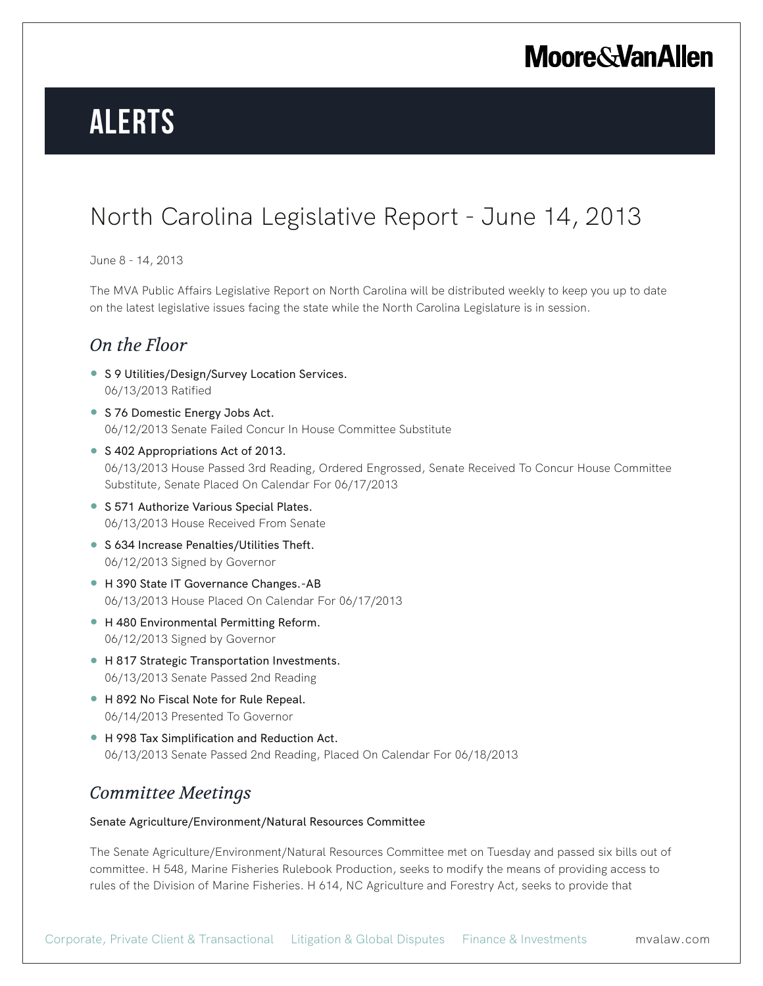# **Alerts**

### North Carolina Legislative Report - June 14, 2013

### June 8 - 14, 2013

The MVA Public Affairs Legislative Report on North Carolina will be distributed weekly to keep you up to date on the latest legislative issues facing the state while the North Carolina Legislature is in session.

### *On the Floor*

- S 9 Utilities/Design/Survey Location Services. 06/13/2013 Ratified
- S 76 Domestic Energy Jobs Act. 06/12/2013 Senate Failed Concur In House Committee Substitute
- S 402 Appropriations Act of 2013. 06/13/2013 House Passed 3rd Reading, Ordered Engrossed, Senate Received To Concur House Committee Substitute, Senate Placed On Calendar For 06/17/2013
- S 571 Authorize Various Special Plates. 06/13/2013 House Received From Senate
- S 634 Increase Penalties/Utilities Theft. 06/12/2013 Signed by Governor
- H 390 State IT Governance Changes.-AB 06/13/2013 House Placed On Calendar For 06/17/2013
- H 480 Environmental Permitting Reform. 06/12/2013 Signed by Governor
- H 817 Strategic Transportation Investments. 06/13/2013 Senate Passed 2nd Reading
- H 892 No Fiscal Note for Rule Repeal. 06/14/2013 Presented To Governor
- H 998 Tax Simplification and Reduction Act. 06/13/2013 Senate Passed 2nd Reading, Placed On Calendar For 06/18/2013

### *Committee Meetings*

### Senate Agriculture/Environment/Natural Resources Committee

The Senate Agriculture/Environment/Natural Resources Committee met on Tuesday and passed six bills out of committee. H 548, Marine Fisheries Rulebook Production, seeks to modify the means of providing access to rules of the Division of Marine Fisheries. H 614, NC Agriculture and Forestry Act, seeks to provide that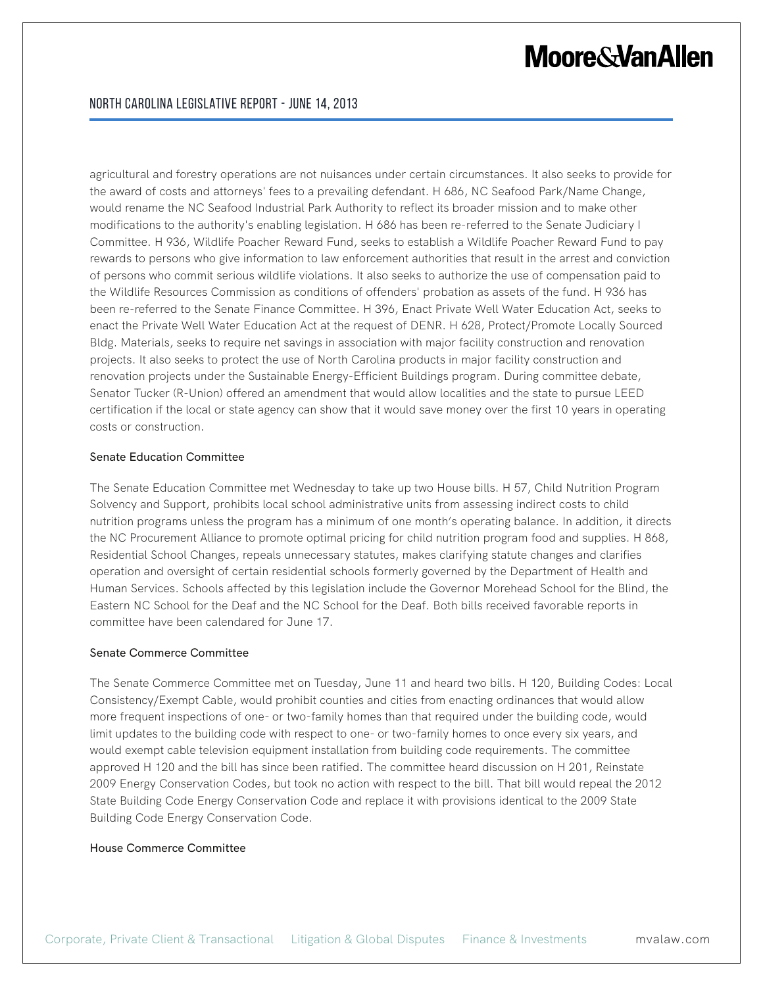agricultural and forestry operations are not nuisances under certain circumstances. It also seeks to provide for the award of costs and attorneys' fees to a prevailing defendant. H 686, NC Seafood Park/Name Change, would rename the NC Seafood Industrial Park Authority to reflect its broader mission and to make other modifications to the authority's enabling legislation. H 686 has been re-referred to the Senate Judiciary I Committee. H 936, Wildlife Poacher Reward Fund, seeks to establish a Wildlife Poacher Reward Fund to pay rewards to persons who give information to law enforcement authorities that result in the arrest and conviction of persons who commit serious wildlife violations. It also seeks to authorize the use of compensation paid to the Wildlife Resources Commission as conditions of offenders' probation as assets of the fund. H 936 has been re-referred to the Senate Finance Committee. H 396, Enact Private Well Water Education Act, seeks to enact the Private Well Water Education Act at the request of DENR. H 628, Protect/Promote Locally Sourced Bldg. Materials, seeks to require net savings in association with major facility construction and renovation projects. It also seeks to protect the use of North Carolina products in major facility construction and renovation projects under the Sustainable Energy-Efficient Buildings program. During committee debate, Senator Tucker (R-Union) offered an amendment that would allow localities and the state to pursue LEED certification if the local or state agency can show that it would save money over the first 10 years in operating costs or construction.

### Senate Education Committee

The Senate Education Committee met Wednesday to take up two House bills. H 57, Child Nutrition Program Solvency and Support, prohibits local school administrative units from assessing indirect costs to child nutrition programs unless the program has a minimum of one month's operating balance. In addition, it directs the NC Procurement Alliance to promote optimal pricing for child nutrition program food and supplies. H 868, Residential School Changes, repeals unnecessary statutes, makes clarifying statute changes and clarifies operation and oversight of certain residential schools formerly governed by the Department of Health and Human Services. Schools affected by this legislation include the Governor Morehead School for the Blind, the Eastern NC School for the Deaf and the NC School for the Deaf. Both bills received favorable reports in committee have been calendared for June 17.

#### Senate Commerce Committee

The Senate Commerce Committee met on Tuesday, June 11 and heard two bills. H 120, Building Codes: Local Consistency/Exempt Cable, would prohibit counties and cities from enacting ordinances that would allow more frequent inspections of one- or two-family homes than that required under the building code, would limit updates to the building code with respect to one- or two-family homes to once every six years, and would exempt cable television equipment installation from building code requirements. The committee approved H 120 and the bill has since been ratified. The committee heard discussion on H 201, Reinstate 2009 Energy Conservation Codes, but took no action with respect to the bill. That bill would repeal the 2012 State Building Code Energy Conservation Code and replace it with provisions identical to the 2009 State Building Code Energy Conservation Code.

#### House Commerce Committee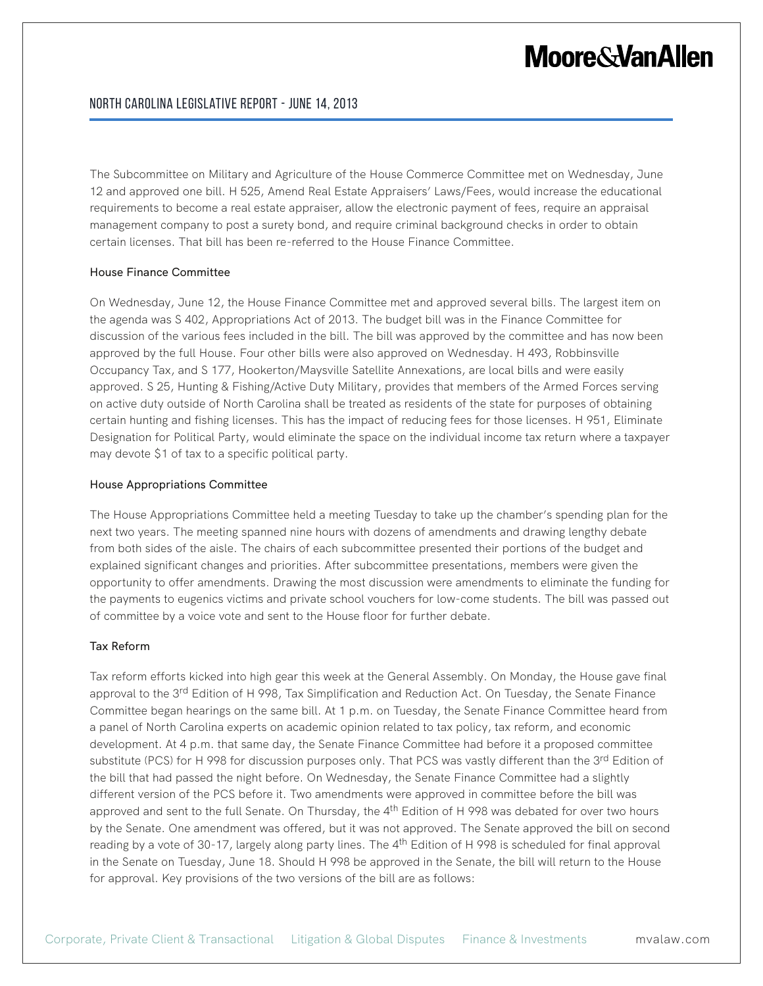The Subcommittee on Military and Agriculture of the House Commerce Committee met on Wednesday, June 12 and approved one bill. H 525, Amend Real Estate Appraisers' Laws/Fees, would increase the educational requirements to become a real estate appraiser, allow the electronic payment of fees, require an appraisal management company to post a surety bond, and require criminal background checks in order to obtain certain licenses. That bill has been re-referred to the House Finance Committee.

#### House Finance Committee

On Wednesday, June 12, the House Finance Committee met and approved several bills. The largest item on the agenda was S 402, Appropriations Act of 2013. The budget bill was in the Finance Committee for discussion of the various fees included in the bill. The bill was approved by the committee and has now been approved by the full House. Four other bills were also approved on Wednesday. H 493, Robbinsville Occupancy Tax, and S 177, Hookerton/Maysville Satellite Annexations, are local bills and were easily approved. S 25, Hunting & Fishing/Active Duty Military, provides that members of the Armed Forces serving on active duty outside of North Carolina shall be treated as residents of the state for purposes of obtaining certain hunting and fishing licenses. This has the impact of reducing fees for those licenses. H 951, Eliminate Designation for Political Party, would eliminate the space on the individual income tax return where a taxpayer may devote \$1 of tax to a specific political party.

#### House Appropriations Committee

The House Appropriations Committee held a meeting Tuesday to take up the chamber's spending plan for the next two years. The meeting spanned nine hours with dozens of amendments and drawing lengthy debate from both sides of the aisle. The chairs of each subcommittee presented their portions of the budget and explained significant changes and priorities. After subcommittee presentations, members were given the opportunity to offer amendments. Drawing the most discussion were amendments to eliminate the funding for the payments to eugenics victims and private school vouchers for low-come students. The bill was passed out of committee by a voice vote and sent to the House floor for further debate.

### Tax Reform

Tax reform efforts kicked into high gear this week at the General Assembly. On Monday, the House gave final approval to the 3<sup>rd</sup> Edition of H 998, Tax Simplification and Reduction Act. On Tuesday, the Senate Finance Committee began hearings on the same bill. At 1 p.m. on Tuesday, the Senate Finance Committee heard from a panel of North Carolina experts on academic opinion related to tax policy, tax reform, and economic development. At 4 p.m. that same day, the Senate Finance Committee had before it a proposed committee substitute (PCS) for H 998 for discussion purposes only. That PCS was vastly different than the 3<sup>rd</sup> Edition of the bill that had passed the night before. On Wednesday, the Senate Finance Committee had a slightly different version of the PCS before it. Two amendments were approved in committee before the bill was approved and sent to the full Senate. On Thursday, the 4<sup>th</sup> Edition of H 998 was debated for over two hours by the Senate. One amendment was offered, but it was not approved. The Senate approved the bill on second reading by a vote of 30-17, largely along party lines. The  $4<sup>th</sup>$  Edition of H 998 is scheduled for final approval in the Senate on Tuesday, June 18. Should H 998 be approved in the Senate, the bill will return to the House for approval. Key provisions of the two versions of the bill are as follows: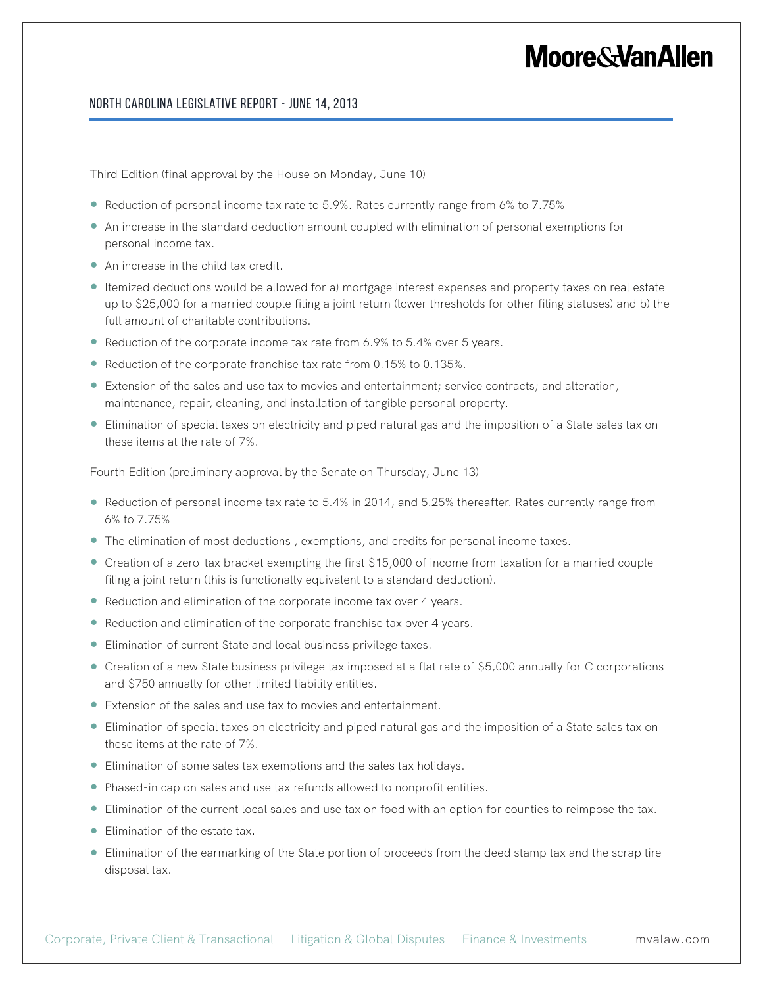### North Carolina Legislative Report - June 14, 2013

Third Edition (final approval by the House on Monday, June 10)

- Reduction of personal income tax rate to 5.9%. Rates currently range from 6% to 7.75%
- An increase in the standard deduction amount coupled with elimination of personal exemptions for personal income tax.
- An increase in the child tax credit.
- Itemized deductions would be allowed for a) mortgage interest expenses and property taxes on real estate up to \$25,000 for a married couple filing a joint return (lower thresholds for other filing statuses) and b) the full amount of charitable contributions.
- Reduction of the corporate income tax rate from 6.9% to 5.4% over 5 years.
- Reduction of the corporate franchise tax rate from 0.15% to 0.135%.
- Extension of the sales and use tax to movies and entertainment; service contracts; and alteration, maintenance, repair, cleaning, and installation of tangible personal property.
- Elimination of special taxes on electricity and piped natural gas and the imposition of a State sales tax on these items at the rate of 7%.

Fourth Edition (preliminary approval by the Senate on Thursday, June 13)

- Reduction of personal income tax rate to 5.4% in 2014, and 5.25% thereafter. Rates currently range from 6% to 7.75%
- The elimination of most deductions , exemptions, and credits for personal income taxes.
- Creation of a zero-tax bracket exempting the first \$15,000 of income from taxation for a married couple filing a joint return (this is functionally equivalent to a standard deduction).
- Reduction and elimination of the corporate income tax over 4 years.
- Reduction and elimination of the corporate franchise tax over 4 years.
- Elimination of current State and local business privilege taxes.
- Creation of a new State business privilege tax imposed at a flat rate of \$5,000 annually for C corporations and \$750 annually for other limited liability entities.
- Extension of the sales and use tax to movies and entertainment.
- Elimination of special taxes on electricity and piped natural gas and the imposition of a State sales tax on these items at the rate of 7%.
- Elimination of some sales tax exemptions and the sales tax holidays.
- Phased-in cap on sales and use tax refunds allowed to nonprofit entities.
- Elimination of the current local sales and use tax on food with an option for counties to reimpose the tax.
- Elimination of the estate tax.
- Elimination of the earmarking of the State portion of proceeds from the deed stamp tax and the scrap tire disposal tax.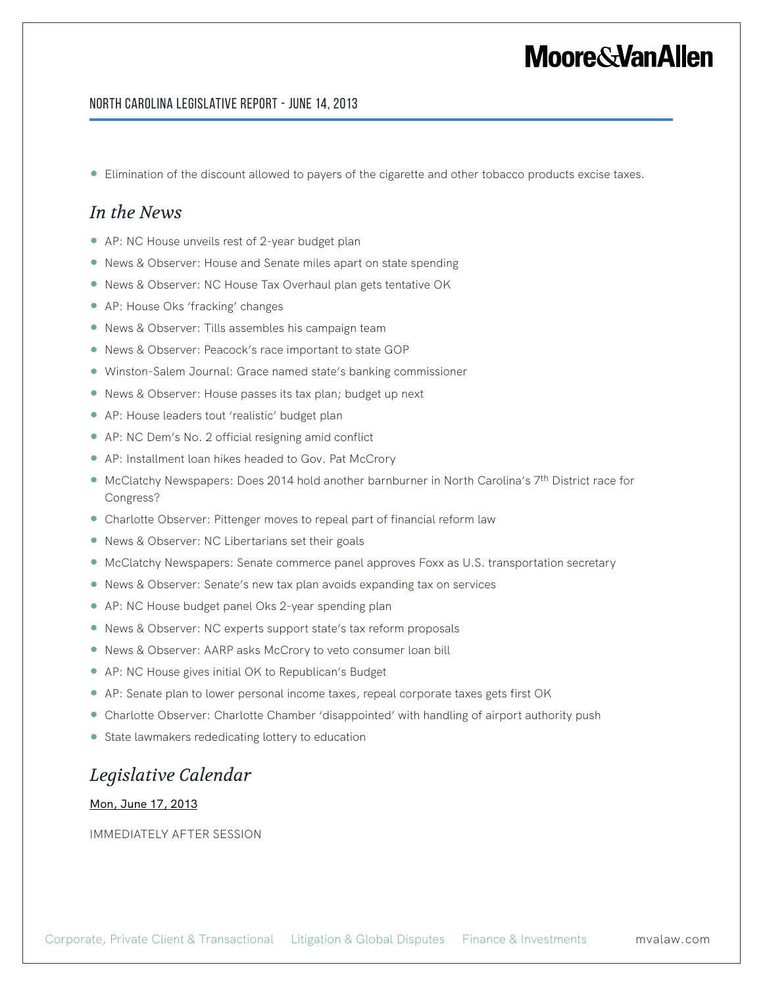### North Carolina Legislative Report - June 14, 2013

● Elimination of the discount allowed to payers of the cigarette and other tobacco products excise taxes.

### *In the News*

- AP: NC House unveils rest of 2-year budget plan
- News & Observer: House and Senate miles apart on state spending
- News & Observer: NC House Tax Overhaul plan gets tentative OK
- AP: House Oks 'fracking' changes
- News & Observer: Tills assembles his campaign team
- News & Observer: Peacock's race important to state GOP
- Winston-Salem Journal: Grace named state's banking commissioner
- News & Observer: House passes its tax plan; budget up next
- AP: House leaders tout 'realistic' budget plan
- AP: NC Dem's No. 2 official resigning amid conflict
- AP: Installment loan hikes headed to Gov. Pat McCrory
- McClatchy Newspapers: Does 2014 hold another barnburner in North Carolina's 7<sup>th</sup> District race for Congress?
- Charlotte Observer: Pittenger moves to repeal part of financial reform law
- News & Observer: NC Libertarians set their goals
- McClatchy Newspapers: Senate commerce panel approves Foxx as U.S. transportation secretary
- News & Observer: Senate's new tax plan avoids expanding tax on services
- AP: NC House budget panel Oks 2-year spending plan
- News & Observer: NC experts support state's tax reform proposals
- News & Observer: AARP asks McCrory to veto consumer loan bill
- AP: NC House gives initial OK to Republican's Budget
- AP: Senate plan to lower personal income taxes, repeal corporate taxes gets first OK
- Charlotte Observer: Charlotte Chamber 'disappointed' with handling of airport authority push
- State lawmakers rededicating lottery to education

### *Legislative Calendar*

Mon, June 17, 2013

IMMEDIATELY AFTER SESSION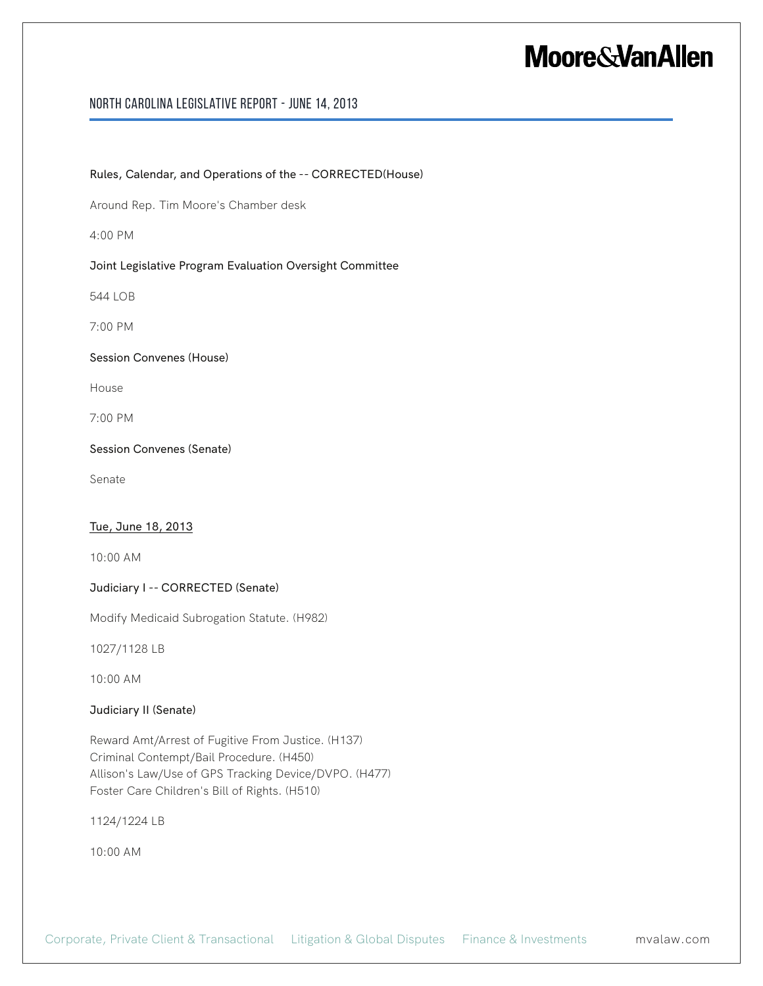### North Carolina Legislative Report - June 14, 2013

Rules, Calendar, and Operations of the -- CORRECTED(House)

Around Rep. Tim Moore's Chamber desk

4:00 PM

### Joint Legislative Program Evaluation Oversight Committee

544 LOB

7:00 PM

### Session Convenes (House)

House

7:00 PM

### Session Convenes (Senate)

Senate

### Tue, June 18, 2013

10:00 AM

### Judiciary I -- CORRECTED (Senate)

Modify Medicaid Subrogation Statute. (H982)

1027/1128 LB

10:00 AM

### Judiciary II (Senate)

Reward Amt/Arrest of Fugitive From Justice. (H137) Criminal Contempt/Bail Procedure. (H450) Allison's Law/Use of GPS Tracking Device/DVPO. (H477) Foster Care Children's Bill of Rights. (H510)

1124/1224 LB

10:00 AM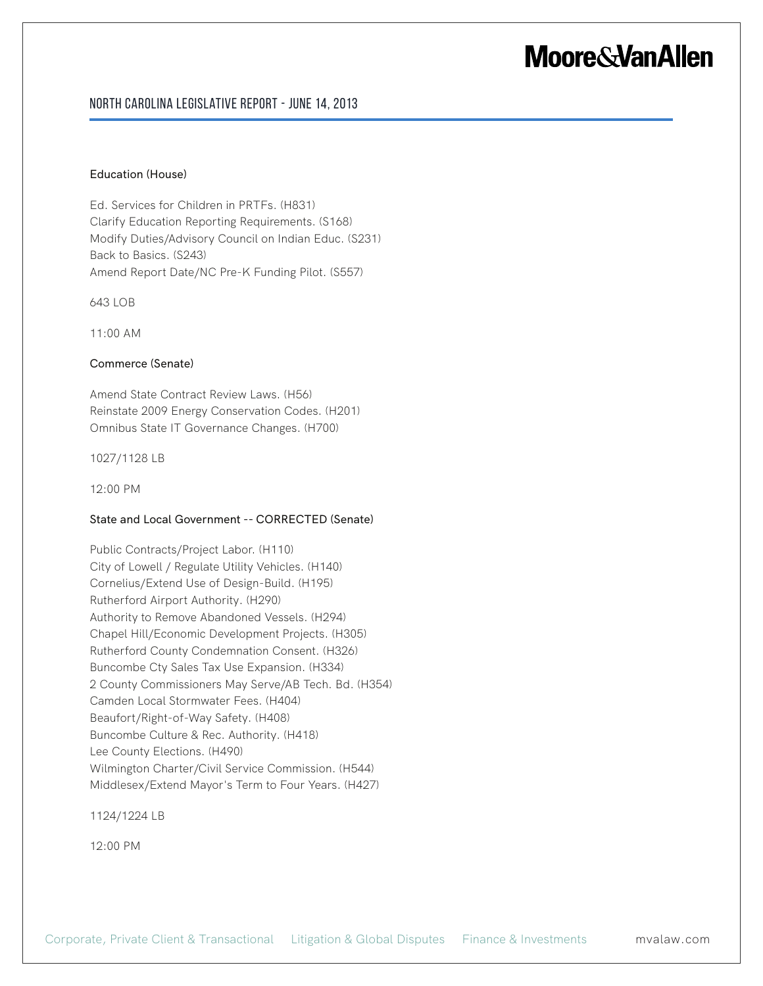### North Carolina Legislative Report - June 14, 2013

#### Education (House)

Ed. Services for Children in PRTFs. (H831) Clarify Education Reporting Requirements. (S168) Modify Duties/Advisory Council on Indian Educ. (S231) Back to Basics. (S243) Amend Report Date/NC Pre-K Funding Pilot. (S557)

643 LOB

11:00 AM

### Commerce (Senate)

Amend State Contract Review Laws. (H56) Reinstate 2009 Energy Conservation Codes. (H201) Omnibus State IT Governance Changes. (H700)

1027/1128 LB

12:00 PM

### State and Local Government -- CORRECTED (Senate)

Public Contracts/Project Labor. (H110) City of Lowell / Regulate Utility Vehicles. (H140) Cornelius/Extend Use of Design-Build. (H195) Rutherford Airport Authority. (H290) Authority to Remove Abandoned Vessels. (H294) Chapel Hill/Economic Development Projects. (H305) Rutherford County Condemnation Consent. (H326) Buncombe Cty Sales Tax Use Expansion. (H334) 2 County Commissioners May Serve/AB Tech. Bd. (H354) Camden Local Stormwater Fees. (H404) Beaufort/Right-of-Way Safety. (H408) Buncombe Culture & Rec. Authority. (H418) Lee County Elections. (H490) Wilmington Charter/Civil Service Commission. (H544) Middlesex/Extend Mayor's Term to Four Years. (H427)

1124/1224 LB

12:00 PM